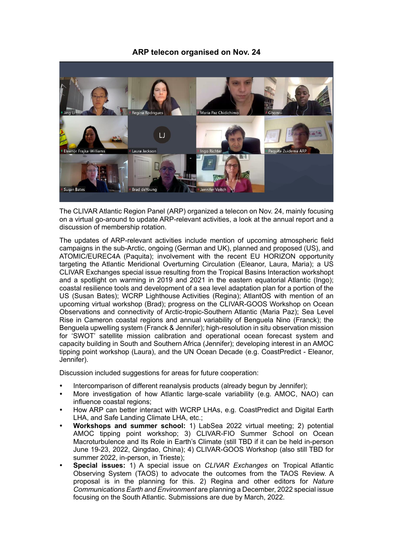## **ARP telecon organised on Nov. 24**



The CLIVAR Atlantic Region Panel (ARP) organized a telecon on Nov. 24, mainly focusing on a virtual go-around to update ARP-relevant activities, a look at the annual report and a discussion of membership rotation.

The updates of ARP-relevant activities include mention of upcoming atmospheric field campaigns in the sub-Arctic, ongoing (German and UK), planned and proposed (US), and ATOMIC/EUREC4A (Paquita); involvement with the recent EU HORIZON opportunity targeting the Atlantic Meridional Overturning Circulation (Eleanor, Laura, Maria); a US CLIVAR Exchanges special issue resulting from the Tropical Basins Interaction workshopt and a spotlight on warming in 2019 and 2021 in the eastern equatorial Atlantic (Ingo); coastal resilience tools and development of a sea level adaptation plan for a portion of the US (Susan Bates); WCRP Lighthouse Activities (Regina); AtlantOS with mention of an upcoming virtual workshop (Brad); progress on the CLIVAR-GOOS Workshop on Ocean Observations and connectivity of Arctic-tropic-Southern Atlantic (Maria Paz); Sea Level Rise in Cameron coastal regions and annual variability of Benguela Nino (Franck); the Benguela upwelling system (Franck & Jennifer); high-resolution in situ observation mission for 'SWOT' satellite mission calibration and operational ocean forecast system and capacity building in South and Southern Africa (Jennifer); developing interest in an AMOC tipping point workshop (Laura), and the UN Ocean Decade (e.g. CoastPredict - Eleanor, Jennifer).

Discussion included suggestions for areas for future cooperation:

- Intercomparison of different reanalysis products (already begun by Jennifer);
- More investigation of how Atlantic large-scale variability (e.g. AMOC, NAO) can influence coastal regions;
- How ARP can better interact with WCRP LHAs, e.g. CoastPredict and Digital Earth LHA, and Safe Landing Climate LHA, etc.;
- **Workshops and summer school:** 1) LabSea 2022 virtual meeting; 2) potential AMOC tipping point workshop; 3) CLIVAR-FIO Summer School on Ocean Macroturbulence and Its Role in Earth's Climate (still TBD if it can be held in-person June 19-23, 2022, Qingdao, China); 4) CLIVAR-GOOS Workshop (also still TBD for summer 2022, in-person, in Trieste);
- **Special issues:** 1) A special issue on *CLIVAR Exchanges* on Tropical Atlantic Observing System (TAOS) to advocate the outcomes from the TAOS Review. A proposal is in the planning for this. 2) Regina and other editors for *Nature Communications Earth and Environment* are planning a December, 2022 special issue focusing on the South Atlantic. Submissions are due by March, 2022.